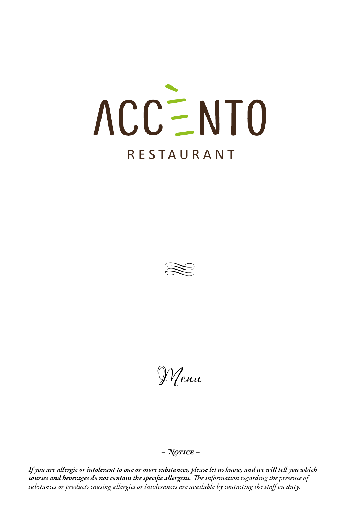# ACCENTO

# RESTA U RANT



Menu

# *– Notice –*

*If you are allergic or intolerant to one or more substances, please let us know, and we will tell you which courses and beverages do not contain the specific allergens. The information regarding the presence of substances or products causing allergies or intolerances are available by contacting the staff on duty.*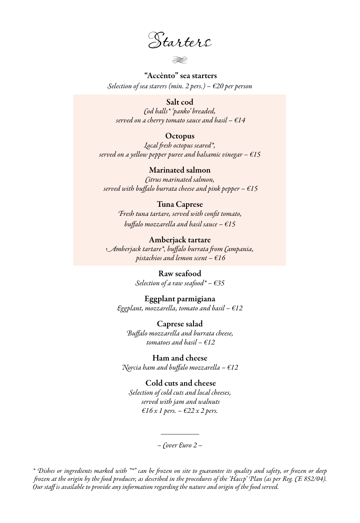Starters

H

#### "Accènto" sea starters

*Selection of sea starers (min. 2 pers.) – €20 per person*

#### Salt cod

*Cod balls\* 'panko' breaded, served on a cherry tomato sauce and basil – €14*

#### **Octopus**

*Local fresh octopus seared\*, served on a yellow pepper puree and balsamic vinegar – €15*

#### Marinated salmon

*Citrus marinated salmon, served with buffalo burrata cheese and pink pepper – €15*

#### Tuna Caprese

*Fresh tuna tartare, served with confit tomato, buffalo mozzarella and basil sauce – €15*

#### Amberjack tartare

*Amberjack tartare\*, buffalo burrata from Campania, pistachios and lemon scent – €16*

#### Raw seafood

*Selection of a raw seafood\* – €35* 

#### Eggplant parmigiana

*Eggplant, mozzarella, tomato and basil – €12*

#### Caprese salad *Buffalo mozzarella and burrata cheese, tomatoes and basil – €12*

Ham and cheese *Norcia ham and buffalo mozzarella – €12*

#### Cold cuts and cheese

*Selection of cold cuts and local cheeses, served with jam and walnuts €16 x 1 pers. – €22 x 2 pers.*

*– Cover Euro 2 –*

*\* Dishes or ingredients marked with "\*" can be frozen on site to guarantee its quality and safety, or frozen or deep frozen at the origin by the food producer, as described in the procedures of the 'Haccp' Plan (as per Reg. CE 852/04). Our staff is available to provide any information regarding the nature and origin of the food served.*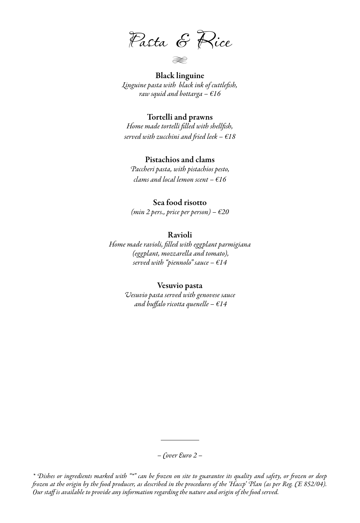Pasta & Rice

Black linguine H

*Linguine pasta with black ink of cuttlefish, raw squid and bottarga – €16*

#### Tortelli and prawns

*Home made tortelli filled with shellfish, served with zucchini and fried leek – €18*

#### Pistachios and clams

*Paccheri pasta, with pistachios pesto, clams and local lemon scent – €16*

#### Sea food risotto

*(min 2 pers., price per person) – €20*

#### Ravioli

*Home made ravioli, filled with eggplant parmigiana (eggplant, mozzarella and tomato), served with "piennolo" sauce – €14*

#### Vesuvio pasta

*Vesuvio pasta served with genovese sauce and buffalo ricotta quenelle – €14*

*– Cover Euro 2 –*

*\* Dishes or ingredients marked with "\*" can be frozen on site to guarantee its quality and safety, or frozen or deep frozen at the origin by the food producer, as described in the procedures of the 'Haccp' Plan (as per Reg. CE 852/04). Our staff is available to provide any information regarding the nature and origin of the food served.*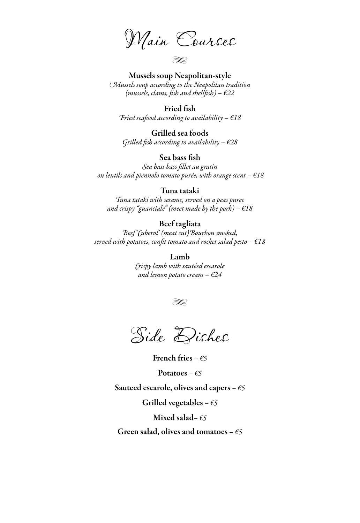Main Courses

H

Mussels soup Neapolitan-style *Mussels soup according to the Neapolitan tradition (mussels, clams, fish and shellfish) – €22*

Fried fish *Fried seafood according to availability – €18*

Grilled sea foods *Grilled fish according to availability – €28*

Sea bass fish

*Sea bass bass fillet au gratin on lentils and piennolo tomato purée, with orange scent – €18*

#### Tuna tataki

*Tuna tataki with sesame, served on a peas puree and crispy "guanciale" (meet made by the pork) – €18*

#### Beef tagliata

*Beef 'Cuberol' (meat cut)Bourbon smoked, served with potatoes, confit tomato and rocket salad pesto – €18*

> Lamb *Crispy lamb with sautéed escarole and lemon potato cream – €24*





French fries *– €5*

Potatoes *– €5*

Sauteed escarole, olives and capers *– €5*

Grilled vegetables *– €5*

Mixed salad*– €5*

Green salad, olives and tomatoes *– €5*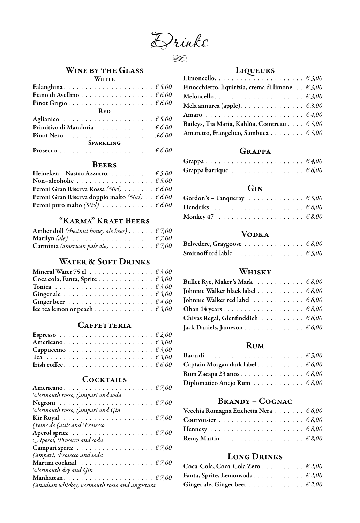Drinks

H

#### Wine by the Glass **WHITE**

| Fiano di Avellino 6.00                                       |  |  |  |  |  |  |  |  |  |  |  |
|--------------------------------------------------------------|--|--|--|--|--|--|--|--|--|--|--|
|                                                              |  |  |  |  |  |  |  |  |  |  |  |
| <b>RED</b>                                                   |  |  |  |  |  |  |  |  |  |  |  |
|                                                              |  |  |  |  |  |  |  |  |  |  |  |
| Primitivo di Manduria $\ldots \ldots \ldots \ldots \in 6.00$ |  |  |  |  |  |  |  |  |  |  |  |
|                                                              |  |  |  |  |  |  |  |  |  |  |  |
| SPARKLING                                                    |  |  |  |  |  |  |  |  |  |  |  |
|                                                              |  |  |  |  |  |  |  |  |  |  |  |

#### **BEERS**

| Heineken – Nastro Azzurro. $\epsilon$ 5.00                      |
|-----------------------------------------------------------------|
|                                                                 |
| Peroni Gran Riserva Rossa (50cl) 6.00                           |
| Peroni Gran Riserva doppio malto (50cl) $\epsilon$ 6.00         |
| Peroni puro malto (50cl) $\ldots \ldots \ldots \ldots \in 6.00$ |
|                                                                 |

# "Karma" Kraft Beers

| Amber doll <i>(chestnut honey ale beer)</i> $\epsilon$ 7,00                |  |  |  |  |
|----------------------------------------------------------------------------|--|--|--|--|
| Marilyn (ale). $\ldots \ldots \ldots \ldots \ldots \ldots \ldots \in 7,00$ |  |  |  |  |
| Carminia (american pale ale) $\ldots \ldots \ldots \in 7,00$               |  |  |  |  |

# WATER & SOFT DRINKS

| Mineral Water 75 cl $\ldots \ldots \ldots \ldots \ldots \in 3,00$      |  |  |  |  |  |  |  |
|------------------------------------------------------------------------|--|--|--|--|--|--|--|
| Coca cola, Fanta, Sprite 63,00                                         |  |  |  |  |  |  |  |
|                                                                        |  |  |  |  |  |  |  |
| Ginger ale $\ldots \ldots \ldots \ldots \ldots \ldots \ldots \in 3,00$ |  |  |  |  |  |  |  |
|                                                                        |  |  |  |  |  |  |  |
|                                                                        |  |  |  |  |  |  |  |

#### **CAFFETTERIA**

#### **COCKTAILS**

| Vermouth rosso, Campari and soda                                      |
|-----------------------------------------------------------------------|
|                                                                       |
| Vermouth rosso, Campari and Gin                                       |
| Kir Royal $\ldots \ldots \ldots \ldots \ldots \ldots \ldots \in 7,00$ |
| Creme de Cassis and Prosecco                                          |
| Aperol spritz $\ldots \ldots \ldots \ldots \ldots \ldots \in 7,00$    |
| Aperol, Prosecco and soda                                             |
| Campari spritz $\ldots \ldots \ldots \ldots \ldots \ldots \in 7,00$   |
| Campari, Prosecco and soda                                            |
| Martini cocktail $\ldots \ldots \ldots \ldots \ldots \in 7,00$        |
| Vermouth dry and Gin                                                  |
|                                                                       |
| Canadian whiskey, vermouth rosso and angostura                        |

# Liqueurs <u>Liqueurs</u>

| Finocchietto. liquirizia, crema di limone $\ldots \in 3,00$    |  |
|----------------------------------------------------------------|--|
|                                                                |  |
| Mela annurca (apple). $\dots \dots \dots \dots \dots \in 3,00$ |  |
|                                                                |  |
| Baileys, Tia Maria, Kahlùa, Cointreau $\epsilon$ 5,00          |  |
| Amaretto, Frangelico, Sambuca $\epsilon$ 5,00                  |  |
|                                                                |  |

#### Grappa

| $\theta$ | Grappa barrique $\ldots \ldots \ldots \ldots \ldots \in 6,00$ |  |  |  |  |  |  |  |  |  |
|----------|---------------------------------------------------------------|--|--|--|--|--|--|--|--|--|

#### Gin

| Gordon's – Tanqueray $65,00$                                   |  |
|----------------------------------------------------------------|--|
|                                                                |  |
| Monkey 47 $\ldots \ldots \ldots \ldots \ldots \ldots \in 8,00$ |  |

#### Vodka

| Belvedere, Graygoose $\ldots \ldots \ldots \ldots \in 8,00$                              |  |  |  |  |  |  |  |  |
|------------------------------------------------------------------------------------------|--|--|--|--|--|--|--|--|
| Smirnoff red lable $\,\,\ldots\,\,\ldots\,\,\ldots\,\,\ldots\,\,\ldots\,\,\epsilon$ 5,00 |  |  |  |  |  |  |  |  |

#### Whisky

| Bullet Rye, Maker's Mark $\ldots \ldots \ldots \in 8,00$        |  |
|-----------------------------------------------------------------|--|
| Johnnie Walker black label $\dots \dots \dots \in 8,00$         |  |
| Johnnie Walker red label $\ldots \ldots \ldots \ldots \in 6,00$ |  |
|                                                                 |  |
| Chivas Regal, Glenfinddich $\ldots \ldots \ldots \in 6,00$      |  |
| Jack Daniels, Jameson $\epsilon$ 6,00                           |  |

#### Rum

| Captain Morgan dark label $\dots \dots \dots \in 6,00$       |  |
|--------------------------------------------------------------|--|
|                                                              |  |
| Diplomatico Anejo Rum $\ldots \ldots \ldots \ldots \in 8,00$ |  |

# Brandy – Cognac

| Vecchia Romagna Etichetta Nera $\dots \dots \in 6,00$            |  |  |  |  |
|------------------------------------------------------------------|--|--|--|--|
|                                                                  |  |  |  |  |
|                                                                  |  |  |  |  |
| Remy Martin $\ldots \ldots \ldots \ldots \ldots \ldots \in 8,00$ |  |  |  |  |

# Long Drinks

| Coca-Cola, Coca-Cola Zero $\epsilon$ 2,00 |  |
|-------------------------------------------|--|
| Fanta, Sprite, Lemonsoda. $\epsilon$ 2,00 |  |
| Ginger ale, Ginger beer $\epsilon$ 2.00   |  |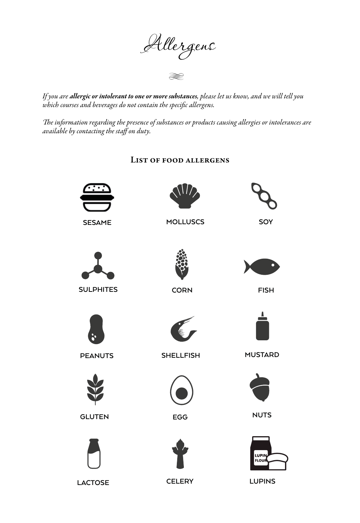Allergens

H

*If you are allergic or intolerant to one or more substances, please let us know, and we will tell you which courses and beverages do not contain the specific allergens.*

*The information regarding the presence of substances or products causing allergies or intolerances are available by contacting the staff on duty.*

# List of food allergens



**LACTOSE CELERY LUPINS**